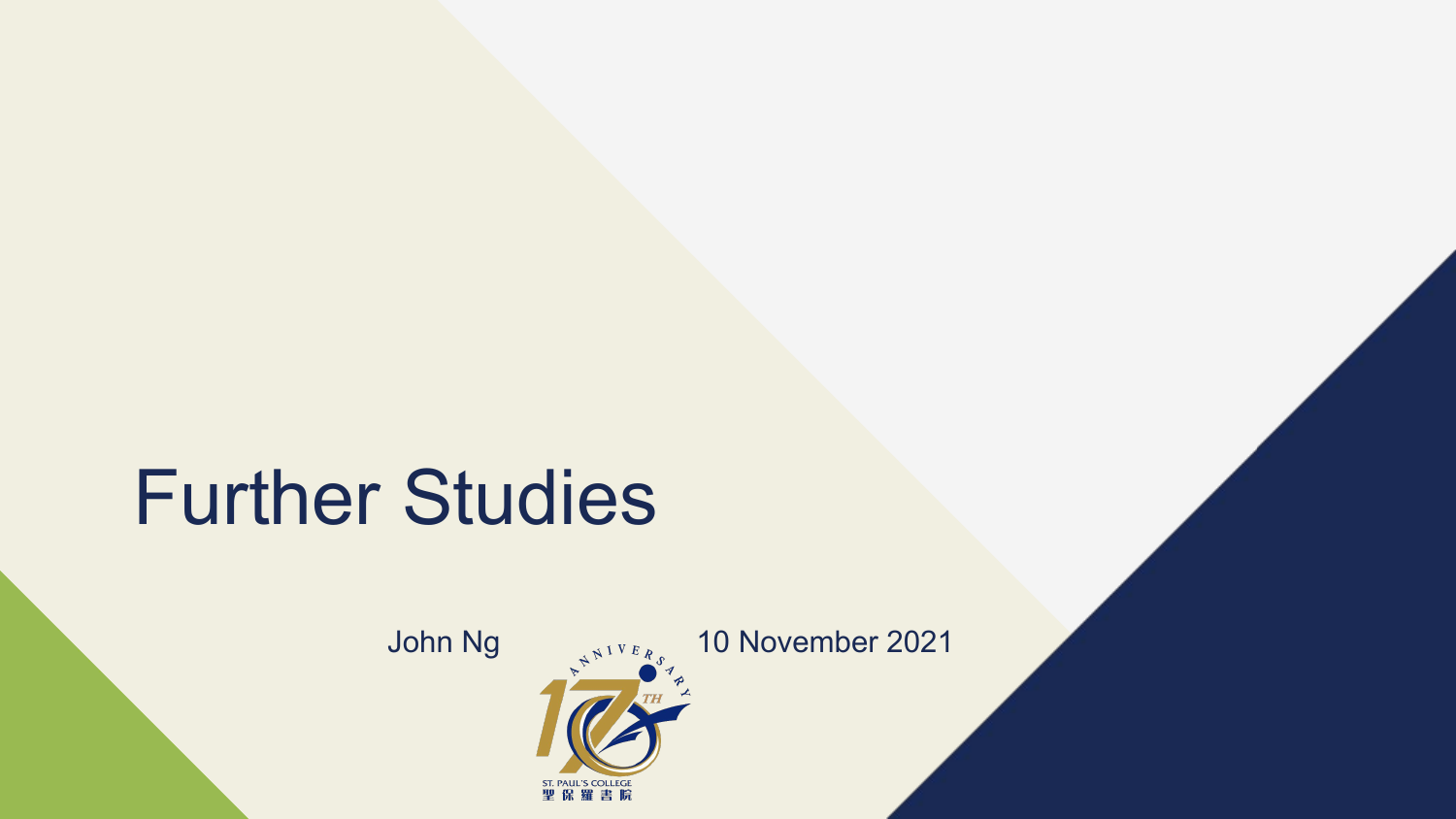## Further Studies



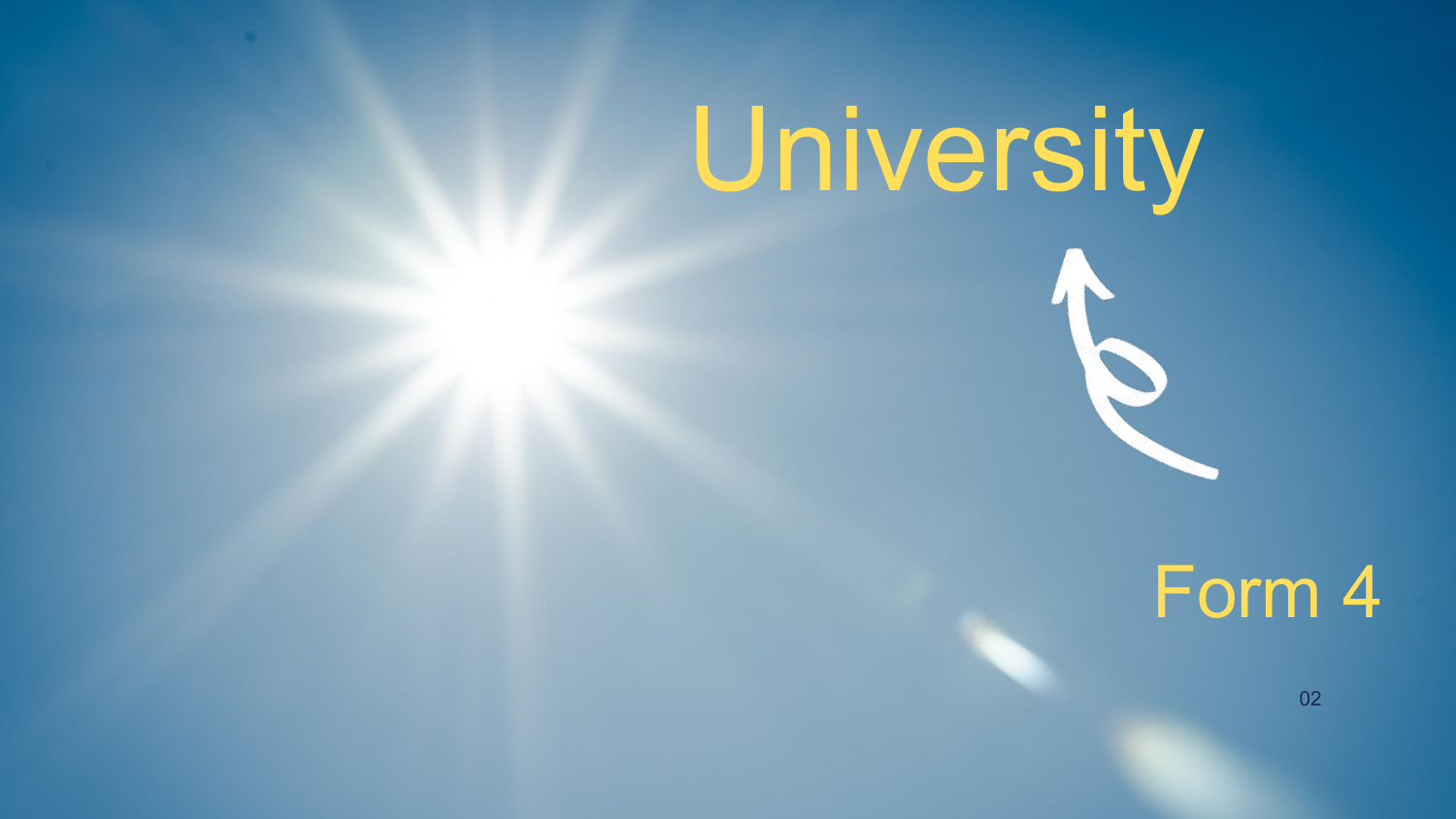## Form 4

02

# University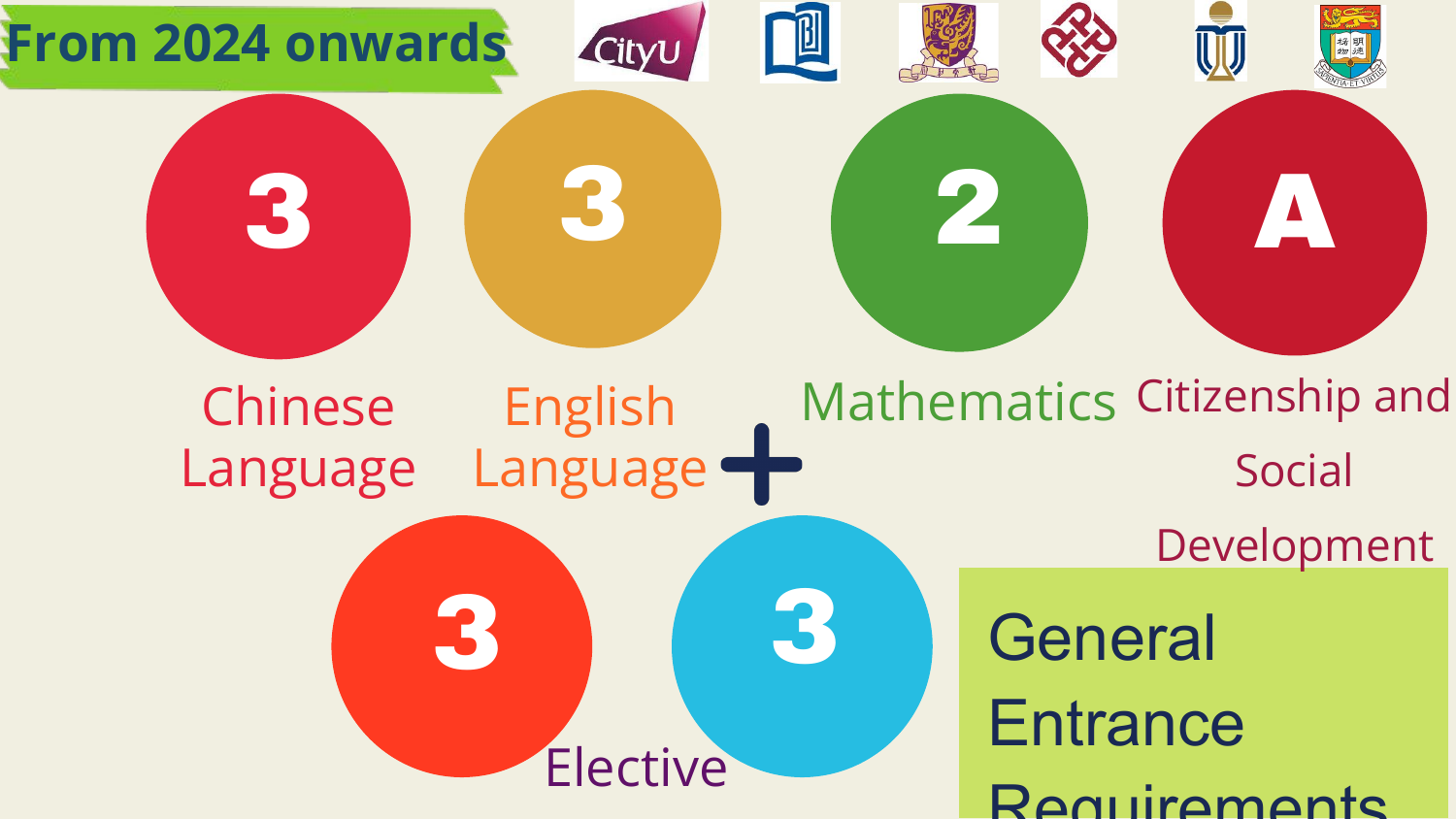

## **General Entrance** Requirements

3 2 3





#### Chinese Language English Language











## Mathematics Citizenship and Social Development

Elective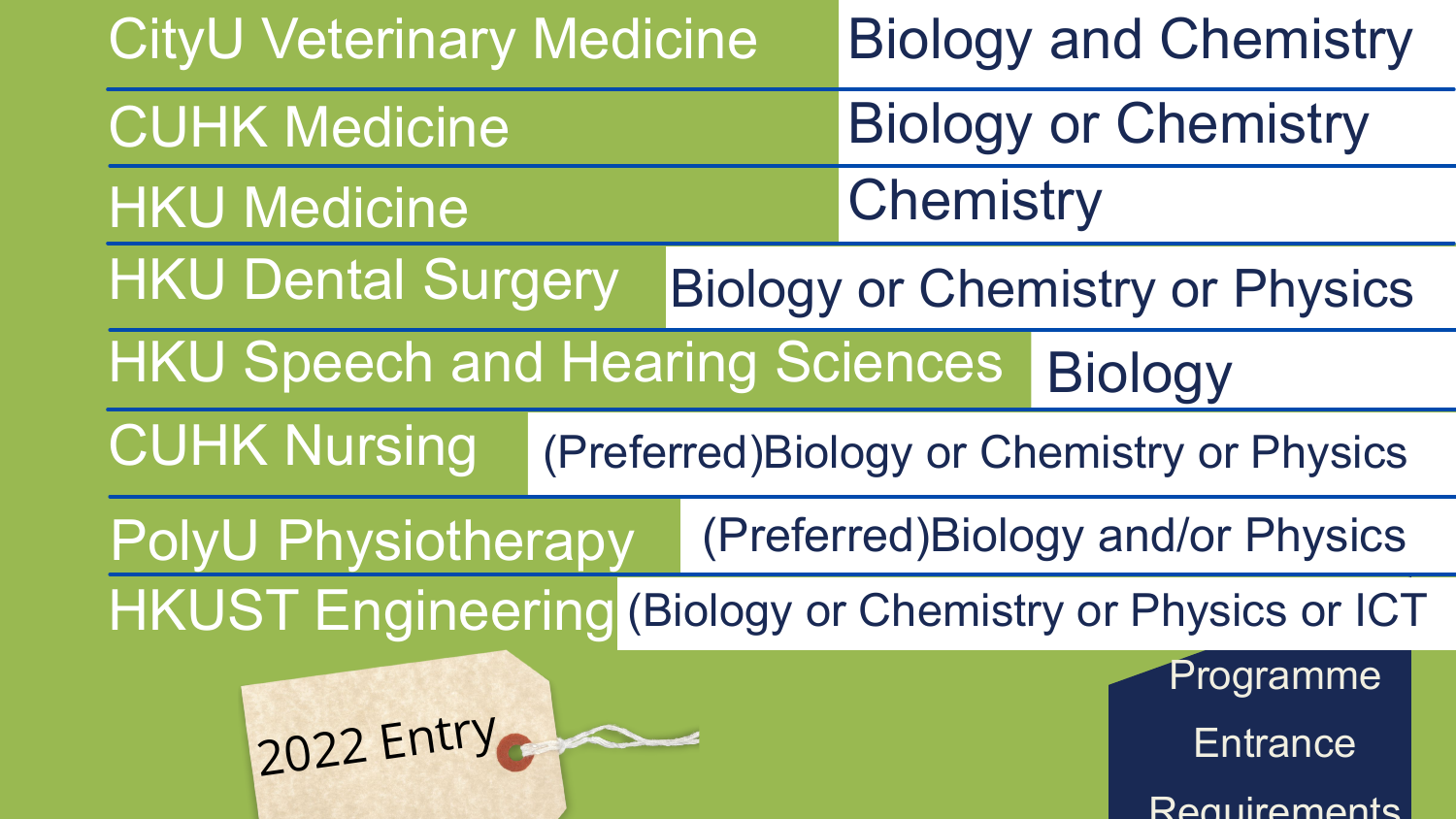Programme **Entrance** Requirements



Biology or Chemistry or Physics

Biology

(Preferred)Biology or Chemistry or Physics

(Preferred)Biology and/or Physics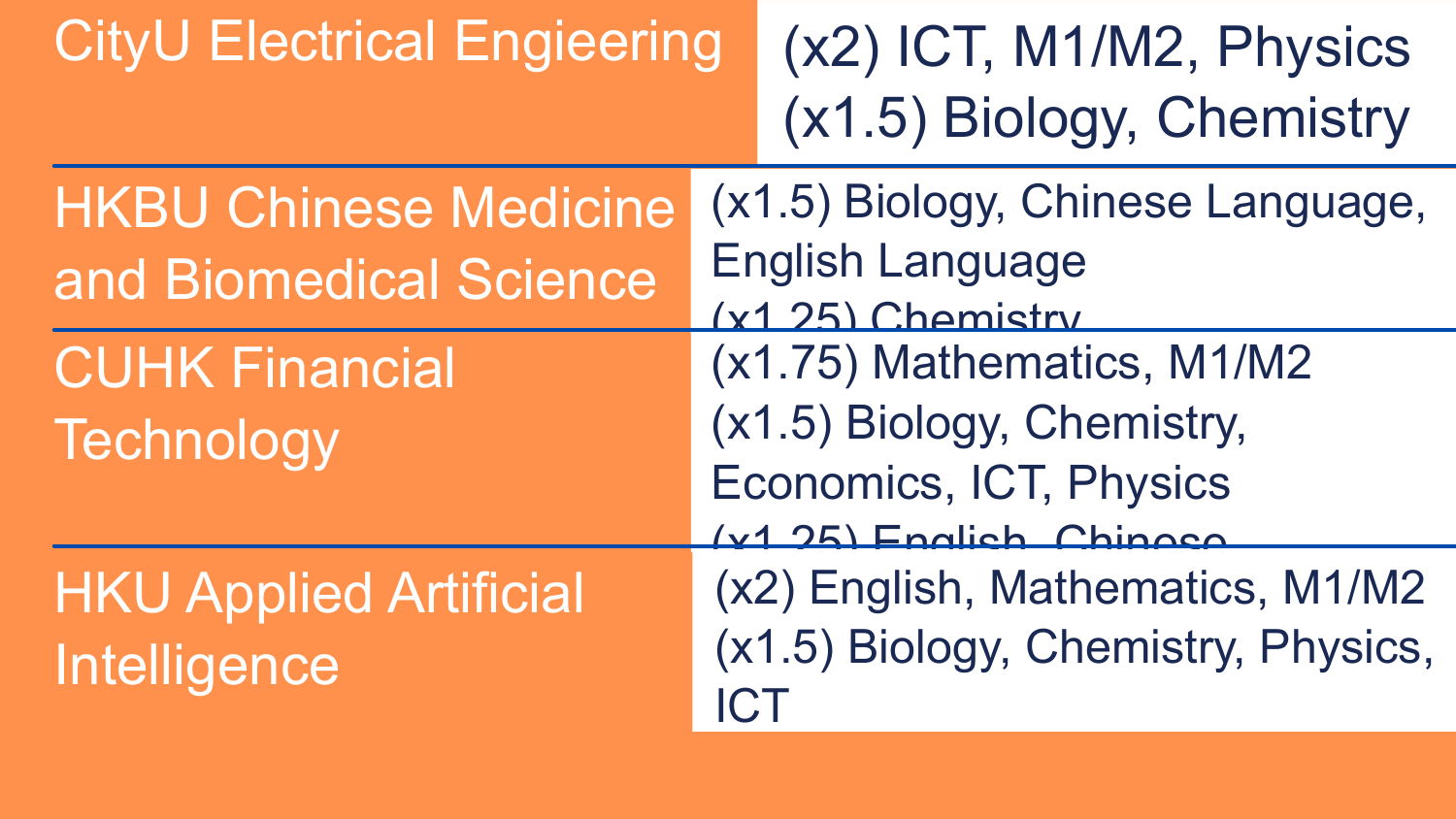### CityU Electrical Engieering (x2) ICT, M1/M2, Physics

# (x1.5) Biology, Chemistry

HKBU Chinese Medicine and Biomedical Science

CUHK Financial Technology

- (x1.5) Biology, Chinese Language,
	-
	-
- (x1.75) Mathematics, M1/M2
- (x1.5) Biology, Chemistry,
- Economics, ICT, Physics
- (x1.25) English, Chinese
- (x2) English, Mathematics, M1/M2 (x1.5) Biology, Chemistry, Physics,

English Language (x1.25) Chemistry ICT

HKU Applied Artificial Intelligence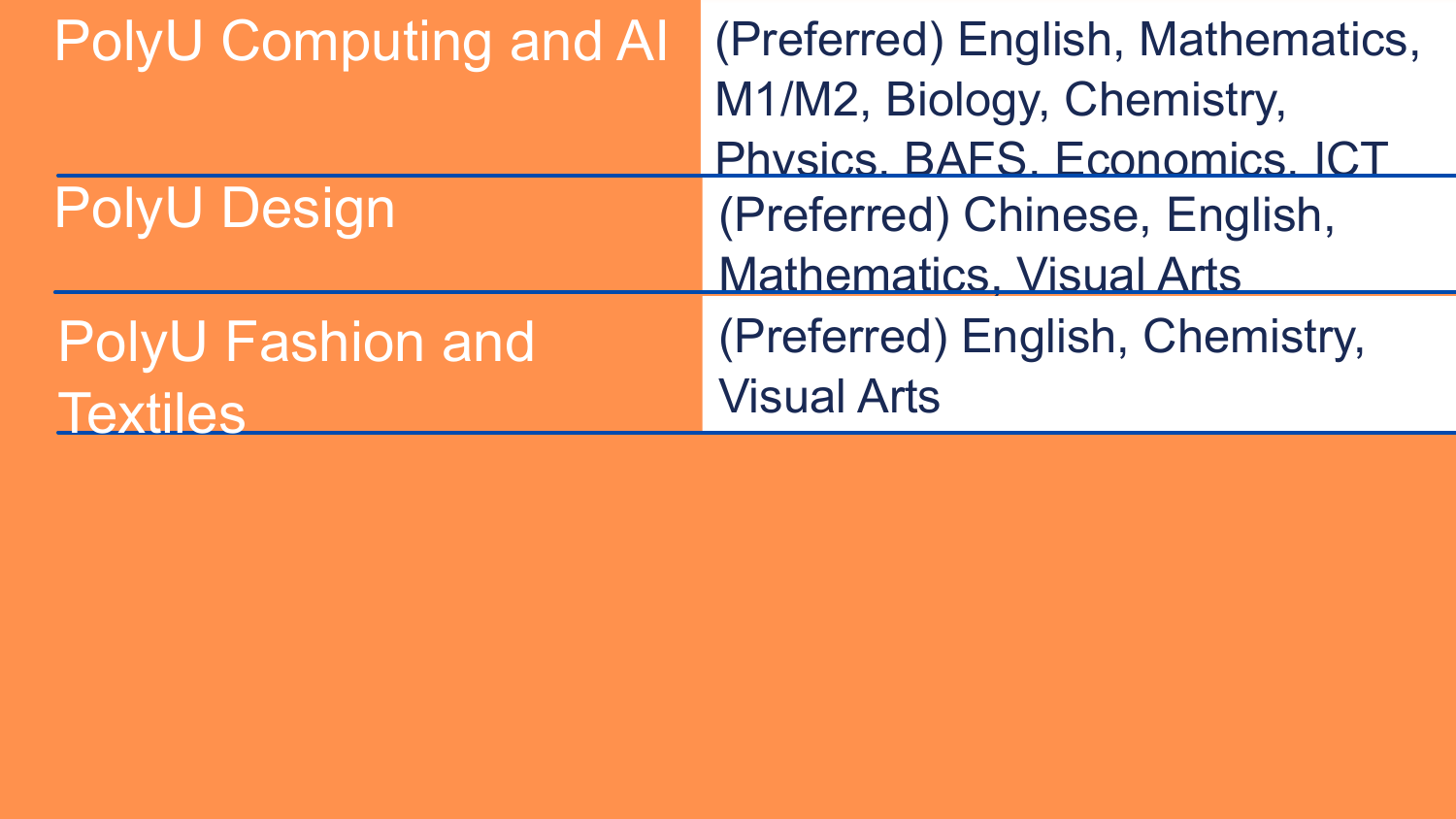| M1/M2, B<br>Physics.                  | (Preferred |
|---------------------------------------|------------|
|                                       |            |
|                                       |            |
| <b>PolyU Design</b><br>(Preferre      |            |
| Mathema                               |            |
| (Preferre<br><b>PolyU Fashion and</b> |            |
| <b>Visual Art</b><br>Textiles         |            |

d) English, Mathematics, Biology, Chemistry, BAFS, Economics, ICT d) Chinese, English, atics, Visual Arts d) English, Chemistry, ts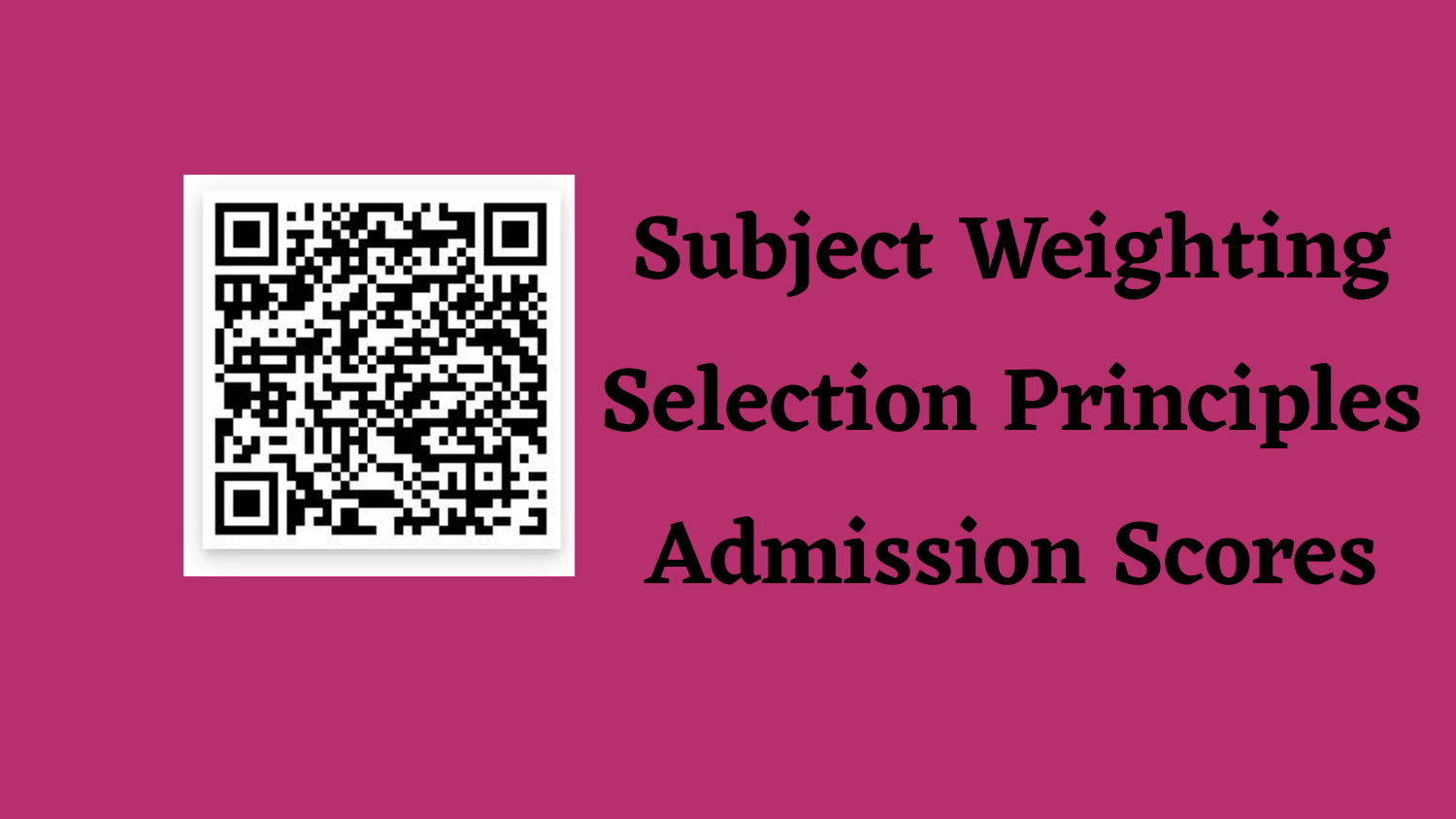

**Subject Weighting Selection Principles Admission Scores**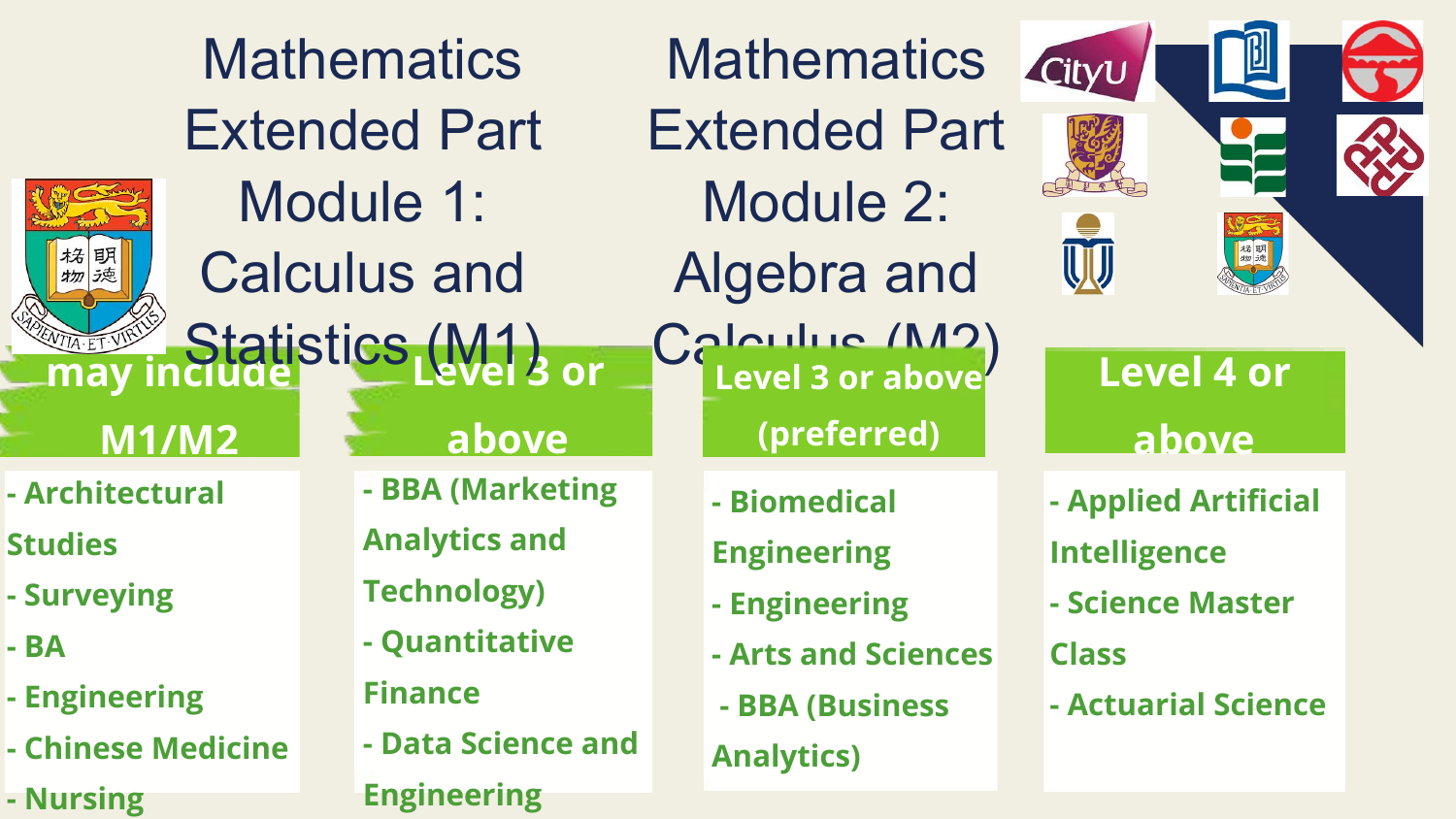| <b>Mathematics</b><br><b>Extended Part</b>                                |                                  |                                                                                                    |  | Mathemat<br><b>Extended F</b>                                                           |  |
|---------------------------------------------------------------------------|----------------------------------|----------------------------------------------------------------------------------------------------|--|-----------------------------------------------------------------------------------------|--|
|                                                                           | Module 1:<br><b>Calculus and</b> |                                                                                                    |  | Module 2<br>Algebra a                                                                   |  |
| may<br><b>M1/M2</b>                                                       |                                  | Statistics (W1) or<br>above                                                                        |  | Calculus /<br>(preferre                                                                 |  |
| - Architectural<br><b>Studies</b><br>- Surveying<br>- BA<br>- Engineering |                                  | - BBA (Marketing<br><b>Analytics and</b><br><b>Technology)</b><br>- Quantitative<br><b>Finance</b> |  | - Biomedical<br><b>Engineering</b><br>- Engineering<br>- Arts and Scie<br>- BBA (Busine |  |
| - Chinese Medicine                                                        |                                  | - Data Science and                                                                                 |  | <b>Analytics)</b>                                                                       |  |

**- Nursing**



**Engineering**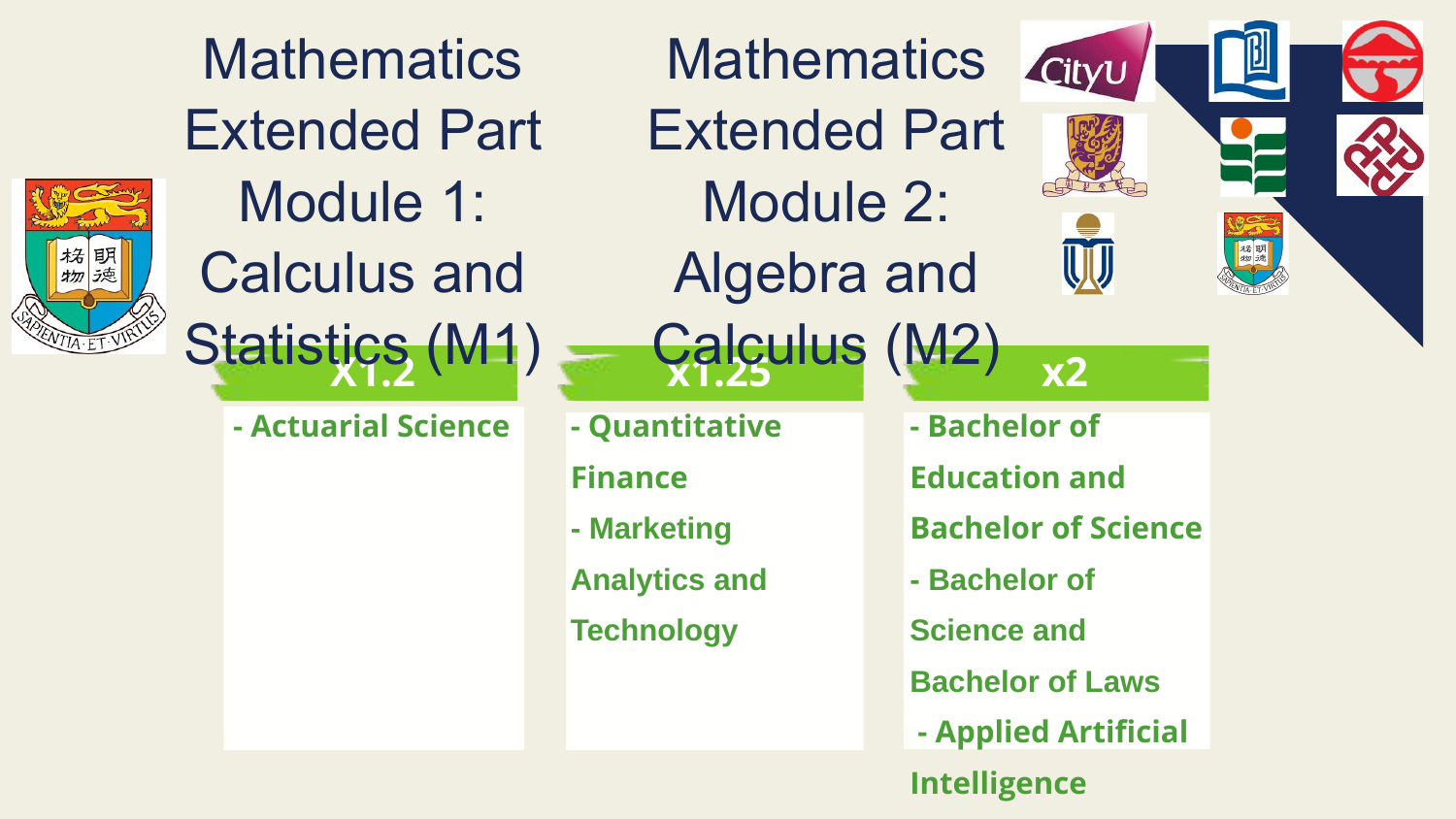

**X1.2 x1.25 x2 Mathematics** Extended Part Module 1: Calculus and Statistics (M1)

**Mathematics** Extended Part Module 2: Algebra and Calculus (M2)

**- Quantitative** 

**Finance**

**- Marketing** 

**Analytics and** 

**Technology**



- **Bachelor of**
- **Education and**
- **Bachelor of Science**
- **Bachelor of**
- **Science and**
- **Bachelor of Laws**
- **Applied Artificial**
- **Intelligence**

**- Actuarial Science**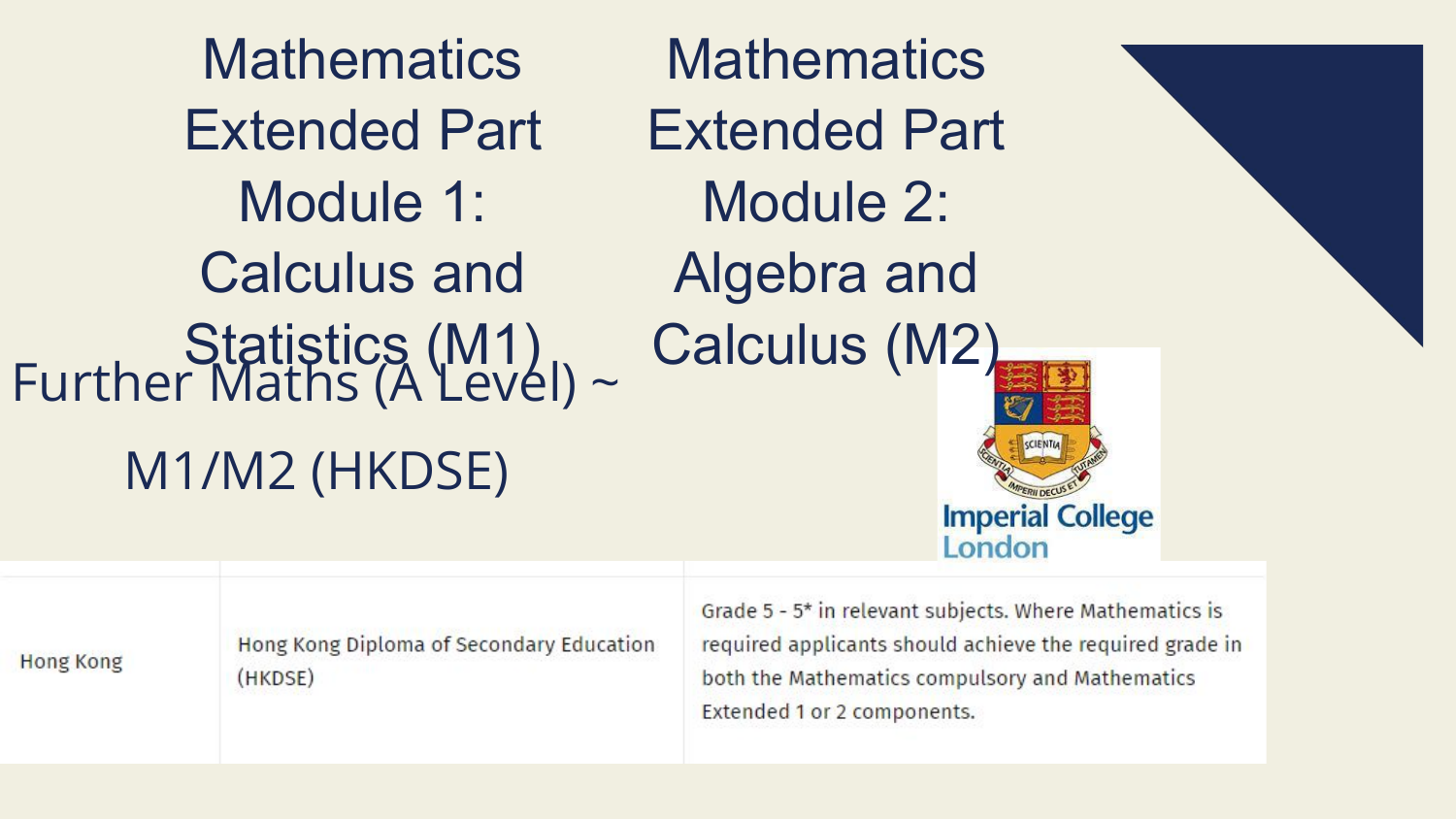**Mathematics** Extended Part Module 1: Calculus and Statistics (M1) Calculus (M2) Further Maths (A Level) ~ **Mathematics** Extended Part Module 2: Algebra and M1/M2 (HKDSE)

Grade 5 - 5\* in relevant subjects. Where Mathematics is Hong Kong Diploma of Secondary Education required applicants should achieve the required grade in **Hong Kong** both the Mathematics compulsory and Mathematics (HKDSE) Extended 1 or 2 components.

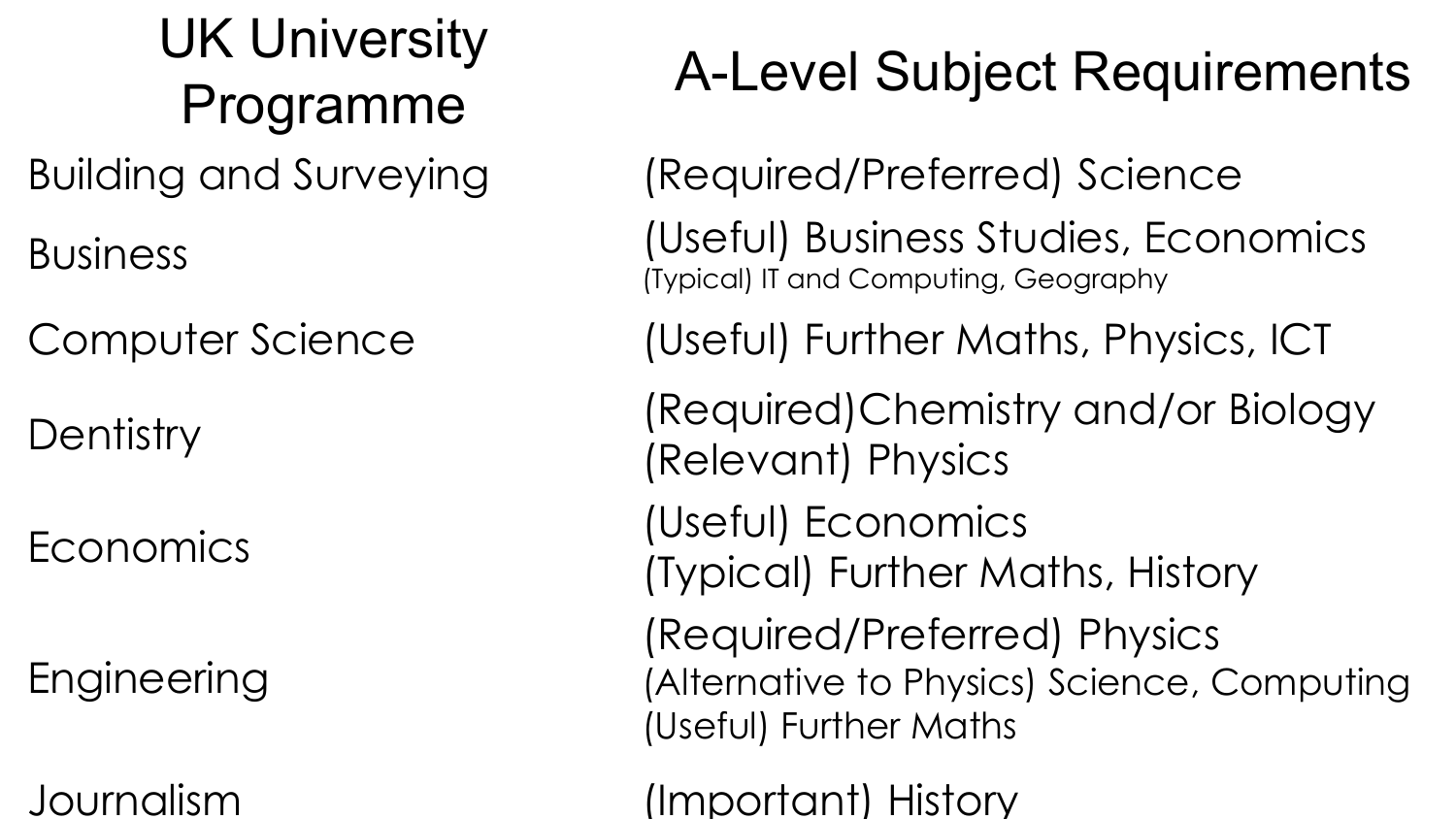# Programme A-Level Subject Requirements

# UK University Building and Surveying (Required/Preferred) Science

(Typical) IT and Computing, Geography

- 
- Business (Useful) Business Studies, Economics
- Computer Science (Useful) Further Maths, Physics, ICT
- Dentistry (Required)Chemistry and/or Biology
	-
	- (Typical) Further Maths, History
	- (Required/Preferred) Physics (Alternative to Physics) Science, Computing
		-

(Relevant) Physics

Economics (Useful) Economics

Engineering

(Useful) Further Maths

Journalism (Important) History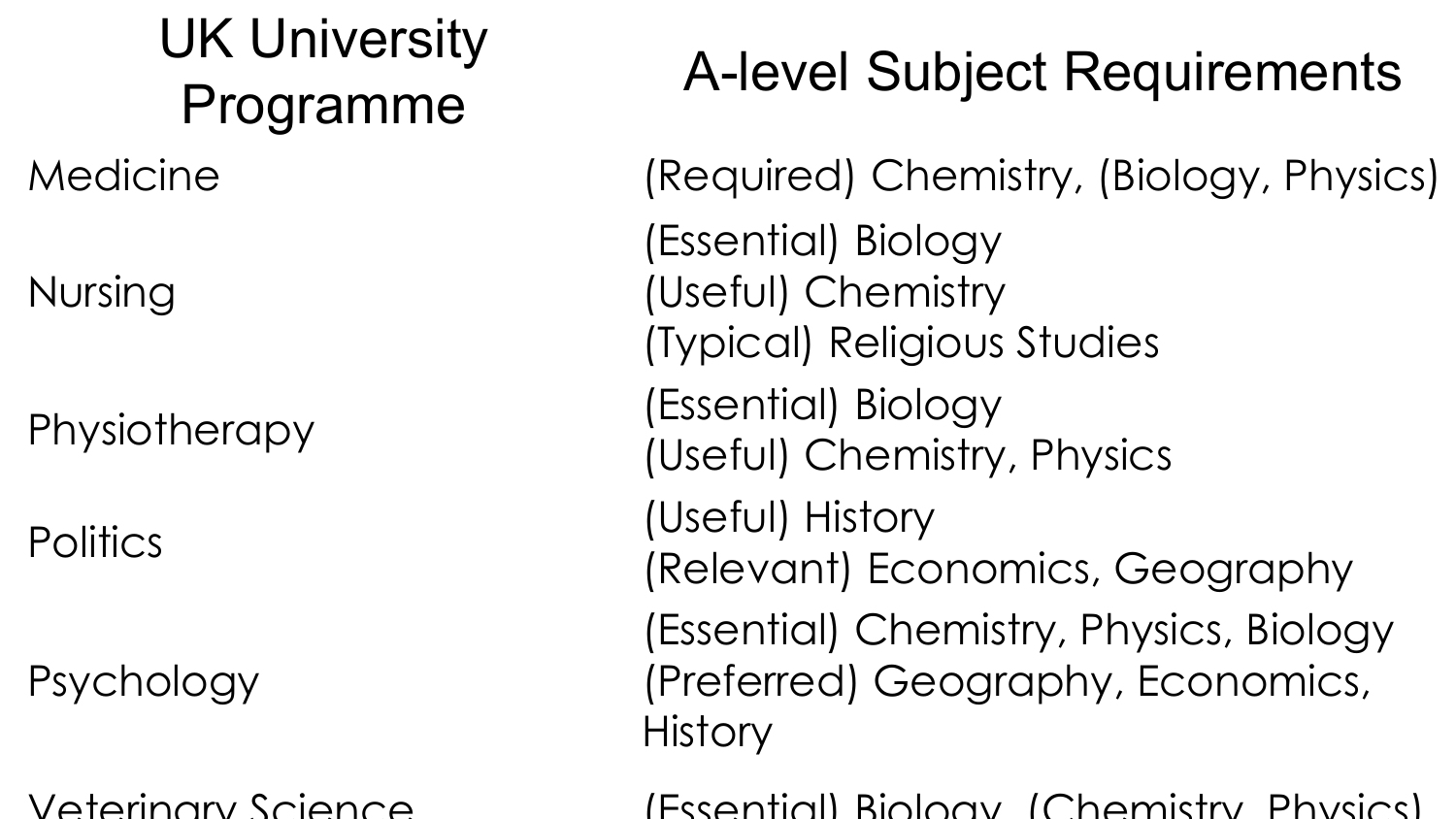# UK University

# Programme A-level Subject Requirements

Nursing

(Essential) Biology (Useful) Chemistry (Typical) Religious Studies Physiotherapy (Essential) Biology (Useful) Chemistry, Physics Politics (Useful) History

**History** 

- Medicine (Required) Chemistry, (Biology, Physics)
	-
	-
	-
	-
	-
	- (Relevant) Economics, Geography (Essential) Chemistry, Physics, Biology (Preferred) Geography, Economics,
- Veterinary Science (Essential) Biology, (Chemistry, Physics)

Psychology